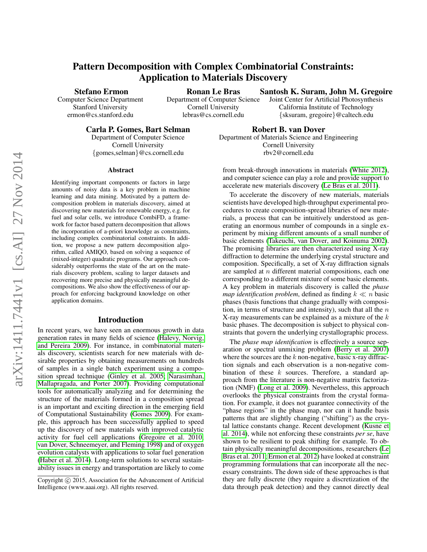# Pattern Decomposition with Complex Combinatorial Constraints: Application to Materials Discovery

Stefano Ermon

Computer Science Department Stanford University ermon@cs.stanford.edu

Ronan Le Bras

Department of Computer Science Cornell University lebras@cs.cornell.edu

Santosh K. Suram, John M. Gregoire Joint Center for Artificial Photosynthesis California Institute of Technology

{sksuram, gregoire}@caltech.edu

Carla P. Gomes, Bart Selman

Department of Computer Science Cornell University {gomes,selman}@cs.cornell.edu

Robert B. van Dover Department of Materials Science and Engineering Cornell University rbv2@cornell.edu

### Abstract

Identifying important components or factors in large amounts of noisy data is a key problem in machine learning and data mining. Motivated by a pattern decomposition problem in materials discovery, aimed at discovering new materials for renewable energy, e.g. for fuel and solar cells, we introduce CombiFD, a framework for factor based pattern decomposition that allows the incorporation of a-priori knowledge as constraints, including complex combinatorial constraints. In addition, we propose a new pattern decomposition algorithm, called AMIQO, based on solving a sequence of (mixed-integer) quadratic programs. Our approach considerably outperforms the state of the art on the materials discovery problem, scaling to larger datasets and recovering more precise and physically meaningful decompositions. We also show the effectiveness of our approach for enforcing background knowledge on other application domains.

### Introduction

In recent years, we have seen an enormous growth in data generation rates in many fields of science [\(Halevy, Norvig,](#page-7-0) [and Pereira 2009\)](#page-7-0). For instance, in combinatorial materials discovery, scientists search for new materials with desirable properties by obtaining measurements on hundreds of samples in a single batch experiment using a composition spread technique [\(Ginley et al. 2005;](#page-7-1) [Narasimhan,](#page-7-2) [Mallapragada, and Porter 2007\)](#page-7-2). Providing computational tools for automatically analyzing and for determining the structure of the materials formed in a composition spread is an important and exciting direction in the emerging field of Computational Sustainability [\(Gomes 2009\)](#page-7-3). For example, this approach has been successfully applied to speed up the discovery of new materials with improved catalytic activity for fuel cell applications [\(Gregoire et al. 2010;](#page-7-4) [van Dover, Schneemeyer, and Fleming 1998\)](#page-8-0) and of oxygen evolution catalysts with applications to solar fuel generation [\(Haber et al. 2014\)](#page-7-5). Long-term solutions to several sustainability issues in energy and transportation are likely to come from break-through innovations in materials [\(White 2012\)](#page-8-1), and computer science can play a role and provide support to accelerate new materials discovery [\(Le Bras et al. 2011\)](#page-7-6).

To accelerate the discovery of new materials, materials scientists have developed high-throughput experimental procedures to create composition-spread libraries of new materials, a process that can be intuitively understood as generating an enormous number of compounds in a single experiment by mixing different amounts of a small number of basic elements [\(Takeuchi, van Dover, and Koinuma 2002\)](#page-7-7). The promising libraries are then characterized using X-ray diffraction to determine the underlying crystal structure and composition. Specifically, a set of X-ray diffraction signals are sampled at  $n$  different material compositions, each one corresponding to a different mixture of some basic elements. A key problem in materials discovery is called the *phase map identification problem*, defined as finding  $k \ll n$  basic phases (basis functions that change gradually with composition, in terms of structure and intensity), such that all the  $n$ X-ray measurements can be explained as a mixture of the  $k$ basic phases. The decomposition is subject to physical constraints that govern the underlying crystallographic process.

The *phase map identification* is effectively a source separation or spectral unmixing problem [\(Berry et al. 2007\)](#page-7-8) where the sources are the  $k$  non-negative, basic x-ray diffraction signals and each observation is a non-negative combination of these  $k$  sources. Therefore, a standard approach from the literature is non-negative matrix factorization (NMF) [\(Long et al. 2009\)](#page-7-9). Nevertheless, this approach overlooks the physical constraints from the crystal formation. For example, it does not guarantee connectivity of the "phase regions" in the phase map, nor can it handle basis patterns that are slightly changing ("shifting") as the crystal lattice constants change. Recent development [\(Kusne et](#page-7-10) [al. 2014\)](#page-7-10), while not enforcing these constraints *per se*, have shown to be resilient to peak shifting for example. To obtain physically meaningful decompositions, researchers [\(Le](#page-7-6) [Bras et al. 2011;](#page-7-6) [Ermon et al. 2012\)](#page-7-11) have looked at constraint programming formulations that can incorporate all the necessary constraints. The down side of these approaches is that they are fully discrete (they require a discretization of the data through peak detection) and they cannot directly deal

Copyright  $\odot$  2015, Association for the Advancement of Artificial Intelligence (www.aaai.org). All rights reserved.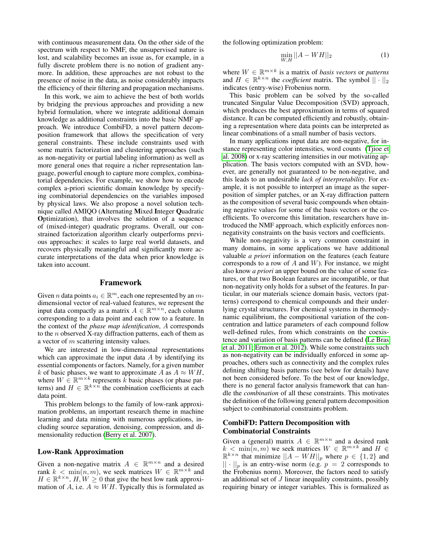with continuous measurement data. On the other side of the spectrum with respect to NMF, the unsupervised nature is lost, and scalability becomes an issue as, for example, in a fully discrete problem there is no notion of gradient anymore. In addition, these approaches are not robust to the presence of noise in the data, as noise considerably impacts the efficiency of their filtering and propagation mechanisms.

In this work, we aim to achieve the best of both worlds by bridging the previous approaches and providing a new hybrid formulation, where we integrate additional domain knowledge as additional constraints into the basic NMF approach. We introduce CombiFD, a novel pattern decomposition framework that allows the specification of very general constraints. These include constraints used with some matrix factorization and clustering approaches (such as non-negativity or partial labeling information) as well as more general ones that require a richer representation language, powerful enough to capture more complex, combinatorial dependencies. For example, we show how to encode complex a-priori scientific domain knowledge by specifying combinatorial dependencies on the variables imposed by physical laws. We also propose a novel solution technique called AMIQO (Alternating Mixed Integer Quadratic Optimization), that involves the solution of a sequence of (mixed-integer) quadratic programs. Overall, our constrained factorization algorithm clearly outperforms previous approaches: it scales to large real world datasets, and recovers physically meaningful and significantly more accurate interpretations of the data when prior knowledge is taken into account.

### Framework

Given *n* data points  $a_i \in \mathbb{R}^m$ , each one represented by an *m*dimensional vector of real-valued features, we represent the input data compactly as a matrix  $A \in \mathbb{R}^{m \times n}$ , each column corresponding to a data point and each row to a feature. In the context of the *phase map identification*, A corresponds to the  $n$  observed X-ray diffraction patterns, each of them as a vector of m scattering intensity values.

We are interested in low-dimensional representations which can approximate the input data  $A$  by identifying its essential components or factors. Namely, for a given number k of basic phases, we want to approximate A as  $A \approx WH$ , where  $W \in \mathbb{R}^{m \times k}$  represents k basic phases (or phase patterns) and  $H \in \mathbb{R}^{k \times n}$  the combination coefficients at each data point.

This problem belongs to the family of low-rank approximation problems, an important research theme in machine learning and data mining with numerous applications, including source separation, denoising, compression, and dimensionality reduction [\(Berry et al. 2007\)](#page-7-8).

# Low-Rank Approximation

Given a non-negative matrix  $A \in \mathbb{R}^{m \times n}$  and a desired rank  $k < \min(n, m)$ , we seek matrices  $W \in \mathbb{R}^{m \times k}$  and  $H \in \mathbb{R}^{k \times n}$ ,  $H, W \geq 0$  that give the best low rank approximation of A, i.e.  $A \approx WH$ . Typically this is formulated as the following optimization problem:

<span id="page-1-0"></span>
$$
\min_{W,H} ||A - WH||_2
$$
 (1)

where  $W \in \mathbb{R}^{m \times k}$  is a matrix of *basis vectors* or *patterns* and  $H \in \mathbb{R}^{k \times n}$  the *coefficient* matrix. The symbol  $|| \cdot ||_2$ indicates (entry-wise) Frobenius norm.

This basic problem can be solved by the so-called truncated Singular Value Decomposition (SVD) approach, which produces the best approximation in terms of squared distance. It can be computed efficiently and robustly, obtaining a representation where data points can be interpreted as linear combinations of a small number of basis vectors.

In many applications input data are non-negative, for instance representing color intensities, word counts [\(Tjioe et](#page-8-2) [al. 2008\)](#page-8-2) or x-ray scattering intensities in our motivating application. The basis vectors computed with an SVD, however, are generally not guaranteed to be non-negative, and this leads to an undesirable *lack of interpretability*. For example, it is not possible to interpret an image as the superposition of simpler patches, or an X-ray diffraction pattern as the composition of several basic compounds when obtaining negative values for some of the basis vectors or the coefficients. To overcome this limitation, researchers have introduced the NMF approach, which explicitly enforces nonnegativity constraints on the basis vectors and coefficients.

While non-negativity is a very common constraint in many domains, in some applications we have additional valuable *a priori* information on the features (each feature corresponds to a row of  $A$  and  $W$ ). For instance, we might also know *a priori* an upper bound on the value of some features, or that two Boolean features are incompatible, or that non-negativity only holds for a subset of the features. In particular, in our materials science domain basis, vectors (patterns) correspond to chemical compounds and their underlying crystal structures. For chemical systems in thermodynamic equilibrium, the compositional variation of the concentration and lattice parameters of each compound follow well-defined rules, from which constraints on the coexistence and variation of basis patterns can be defined [\(Le Bras](#page-7-6) [et al. 2011;](#page-7-6) [Ermon et al. 2012\)](#page-7-11). While some constraints such as non-negativity can be individually enforced in some approaches, others such as connectivity and the complex rules defining shifting basis patterns (see below for details) have not been considered before. To the best of our knowledge, there is no general factor analysis framework that can handle the *combination* of all these constraints. This motivates the definition of the following general pattern decomposition subject to combinatorial constraints problem.

# CombiFD: Pattern Decomposition with Combinatorial Constraints

Given a (general) matrix  $A \in \mathbb{R}^{m \times n}$  and a desired rank  $k < \min(n, m)$  we seek matrices  $W \in \mathbb{R}^{m \times k}$  and  $H \in$  $\mathbb{R}^{k \times n}$  that minimize  $||A - WH||_p$  where  $p \in \{1, 2\}$  and  $|| \cdot ||_p$  is an entry-wise norm (e.g.  $p = 2$  corresponds to the Frobenius norm). Moreover, the factors need to satisfy an additional set of  $J$  linear inequality constraints, possibly requiring binary or integer variables. This is formalized as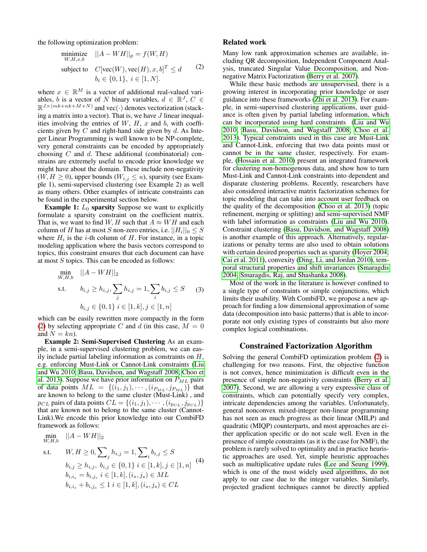the following optimization problem:

<span id="page-2-0"></span>
$$
\begin{array}{ll}\n\text{minimize} & ||A - WH||_p = f(W, H) \\
\text{subject to} & C[\text{vec}(W), \text{vec}(H), x, b]^T \le d \\
& b_i \in \{0, 1\}, \ i \in [1, N].\n\end{array} \tag{2}
$$

where  $x \in \mathbb{R}^M$  is a vector of additional real-valued variables, b is a vector of N binary variables,  $d \in \mathbb{R}^J$ ,  $C \in$  $\mathbb{R}^{J \times (mk+nk+M+N)}$  and vec $(\cdot)$  denotes vectorization (stacking a matrix into a vector). That is, we have  $J$  linear inequalities involving the entries of  $W$ ,  $H$ ,  $x$  and  $b$ , with coefficients given by  $C$  and right-hand side given by  $d$ . As Integer Linear Programming is well known to be NP-complete, very general constraints can be encoded by appropriately choosing  $C$  and  $d$ . These additional (combinatorial) constrains are extremely useful to encode prior knowledge we might have about the domain. These include non-negativity  $(W, H \geq 0)$ , upper bounds  $(W_{i,j} \leq u)$ , sparsity (see Example 1), semi-supervised clustering (see Example 2) as well as many others. Other examples of intricate constraints can be found in the experimental section below.

**Example 1:**  $L_0$  sparsity Suppose we want to explicitly formulate a sparsity constraint on the coefficient matrix. That is, we want to find W, H such that  $A \approx WH$  and each column of  $H$  has at most  $S$  non-zero entries, i.e.  $||H_i||_0 \leq S$ where  $H_i$  is the *i*-th column of  $H$ . For instance, in a topic modeling application where the basis vectors correspond to topics, this constraint ensures that each document can have at most  $S$  topics. This can be encoded as follows:

<span id="page-2-2"></span>
$$
\min_{W,H,b} \quad ||A - WH||_2
$$
\n
$$
\text{s.t.} \quad b_{i,j} \ge h_{i,j}, \sum_j h_{i,j} = 1, \sum_i b_{i,j} \le S \quad (3)
$$
\n
$$
b_{i,j} \in \{0, 1\} \ i \in [1, k], j \in [1, n]
$$

which can be easily rewritten more compactly in the form [\(2\)](#page-2-0) by selecting appropriate C and d (in this case,  $M = 0$ and  $N = kn$ ).

Example 2: Semi-Supervised Clustering As an example, in a semi-supervised clustering problem, we can easily include partial labeling information as constraints on  $H$ , e.g. enforcing Must-Link or Cannot-Link constraints [\(Liu](#page-7-12) [and Wu 2010;](#page-7-12) [Basu, Davidson, and Wagstaff 2008;](#page-7-13) [Choo et](#page-7-14) [al. 2013\)](#page-7-14). Suppose we have prior information on  $P_{ML}$  pairs of data points  $ML = \{(\bar{i}_1, j_1), \cdots, (\bar{i}_{P_{ML}}, j_{P_{ML}})\}$  that are known to belong to the same cluster (Must-Link) , and  $p_{CL}$  pairs of data points  $CL = \{(i_1, j_1), \cdots, (i_{p_{CL}}, j_{p_{CL}})\}$ that are known not to belong to the same cluster (Cannot-Link).We encode this prior knowledge into our CombiFD framework as follows:

<span id="page-2-1"></span>
$$
\min_{W,H,b} \quad ||A - WH||_2
$$
\n
$$
\text{s.t.} \quad W, H \ge 0, \sum_{j} h_{i,j} = 1, \sum_{i} b_{i,j} \le S
$$
\n
$$
b_{i,j} \ge h_{i,j}, \ b_{i,j} \in \{0, 1\} \ i \in [1, k], j \in [1, n] \quad (4)
$$
\n
$$
b_{i,i_s} = b_{i,j_s} \ i \in [1, k], (i_s, j_s) \in ML
$$
\n
$$
b_{i,i_s} + b_{i,j_s} \le 1 \ i \in [1, k], (i_s, j_s) \in CL
$$

### Related work

Many low rank approximation schemes are available, including QR decomposition, Independent Component Analysis, truncated Singular Value Decomposition, and Nonnegative Matrix Factorization [\(Berry et al. 2007\)](#page-7-8).

While these basic methods are unsupervised, there is a growing interest in incorporating prior knowledge or user guidance into these frameworks [\(Zhi et al. 2013\)](#page-8-3). For example, in semi-supervised clustering applications, user guidance is often given by partial labeling information, which can be incorporated using hard constraints [\(Liu and Wu](#page-7-12) [2010;](#page-7-12) [Basu, Davidson, and Wagstaff 2008;](#page-7-13) [Choo et al.](#page-7-14) [2013\)](#page-7-14). Typical constraints used in this case are Must-Link and Cannot-Link, enforcing that two data points must or cannot be in the same cluster, respectively. For example, [\(Hossain et al. 2010\)](#page-7-15) present an integrated framework for clustering non-homogenous data, and show how to turn Must-Link and Cannot-Link constraints into dependent and disparate clustering problems. Recently, researchers have also considered interactive matrix factorization schemes for topic modeling that can take into account user feedback on the quality of the decomposition [\(Choo et al. 2013\)](#page-7-14) (topic refinement, merging or splitting) and semi-supervised NMF with label information as constraints [\(Liu and Wu 2010\)](#page-7-12). Constraint clustering [\(Basu, Davidson, and Wagstaff 2008\)](#page-7-13) is another example of this approach. Alternatively, regularizations or penalty terms are also used to obtain solutions with certain desired properties such as sparsity [\(Hoyer 2004;](#page-7-16) [Cai et al. 2011\)](#page-7-17), convexity [\(Ding, Li, and Jordan 2010\)](#page-7-18), temporal structural properties and shift invariances [\(Smaragdis](#page-7-19) [2004;](#page-7-19) [Smaragdis, Raj, and Shashanka 2008\)](#page-7-20).

Most of the work in the literature is however confined to a single type of constraints or simple conjunctions, which limits their usability. With CombiFD, we propose a new approach for finding a low dimensional approximation of some data (decomposition into basic patterns) that is able to incorporate not only existing types of constraints but also more complex logical combinations.

### Constrained Factorization Algorithm

Solving the general CombiFD optimization problem [\(2\)](#page-2-0) is challenging for two reasons. First, the objective function is not convex, hence minimization is difficult even in the presence of simple non-negativity constraints [\(Berry et al.](#page-7-8) [2007\)](#page-7-8). Second, we are allowing a very expressive class of constraints, which can potentially specify very complex, intricate dependencies among the variables. Unfortunately, general nonconvex mixed-integer non-linear programming has not seen as much progress as their linear (MILP) and quadratic (MIQP) counterparts, and most approaches are either application specific or do not scale well. Even in the presence of simple constraints (as it is the case for NMF), the problem is rarely solved to optimality and in practice heuristic approaches are used. Yet, simple heuristic approaches such as multiplicative update rules [\(Lee and Seung 1999\)](#page-7-21), which is one of the most widely used algorithms, do not apply to our case due to the integer variables. Similarly, projected gradient techniques cannot be directly applied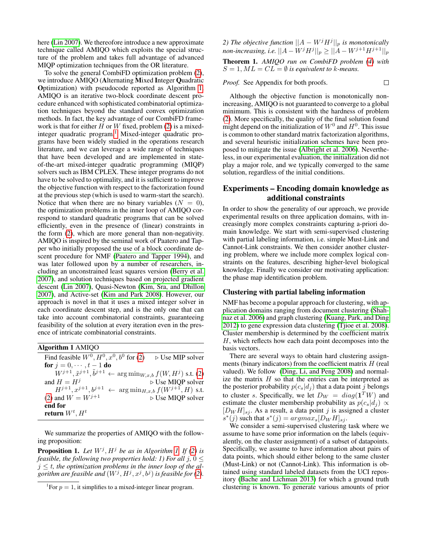here [\(Lin 2007\)](#page-7-22). We thereofore introduce a new approximate technique called AMIQO which exploits the special structure of the problem and takes full advantage of advanced MIQP optimization techniques from the OR literature.

To solve the general CombiFD optimization problem [\(2\)](#page-2-0), we introduce AMIQO (Alternating Mixed Integer Quadratic Optimization) with pseudocode reported as Algorithm [1.](#page-3-0) AMIQO is an iterative two-block coordinate descent procedure enhanced with sophisticated combinatorial optimization techniques beyond the standard convex optimization methods. In fact, the key advantage of our CombiFD framework is that for either  $H$  or  $W$  fixed, problem [\(2\)](#page-2-0) is a mixed-integer quadratic program.<sup>[1](#page-3-1)</sup> Mixed-integer quadratic programs have been widely studied in the operations research literature, and we can leverage a wide range of techniques that have been developed and are implemented in stateof-the-art mixed-integer quadratic programming (MIQP) solvers such as IBM CPLEX. These integer programs do not have to be solved to optimality, and it is sufficient to improve the objective function with respect to the factorization found at the previous step (which is used to warm-start the search). Notice that when there are no binary variables  $(N = 0)$ , the optimization problems in the inner loop of AMIQO correspond to standard quadratic programs that can be solved efficiently, even in the presence of (linear) constraints in the form [\(2\)](#page-2-0), which are more general than non-negativity. AMIQO is inspired by the seminal work of Paatero and Tapper who initially proposed the use of a block coordinate descent procedure for NMF [\(Paatero and Tapper 1994\)](#page-7-23), and was later followed upon by a number of researchers, including an unconstrained least squares version [\(Berry et al.](#page-7-8) [2007\)](#page-7-8), and solution techniques based on projected gradient descent [\(Lin 2007\)](#page-7-22), Quasi-Newton [\(Kim, Sra, and Dhillon](#page-7-24) [2007\)](#page-7-24), and Active-set [\(Kim and Park 2008\)](#page-7-25). However, our approach is novel in that it uses a mixed integer solver in each coordinate descent step, and is the only one that can take into account combinatorial constraints, guaranteeing feasibility of the solution at every iteration even in the presence of intricate combinatorial constraints.

<span id="page-3-0"></span>

| Algorithm 1 AMIOO                                                                                     |                                 |
|-------------------------------------------------------------------------------------------------------|---------------------------------|
| Find feasible $W0$ , $H0$ , $x0$ , $b0$ for (2)                                                       | $\triangleright$ Use MIP solver |
| <b>for</b> $j = 0, \dots, t - 1$ <b>do</b>                                                            |                                 |
| $W^{j+1}, \tilde{x}^{j+1}, \tilde{b}^{j+1} \leftarrow \arg\min_{W, x, b} f(W, H^j) \text{ s.t. } (2)$ |                                 |
| and $H = H^{j}$                                                                                       | ⊳ Use MIQP solver               |
| $H^{j+1}, x^{j+1}, b^{j+1} \leftarrow \arg \min_{H, x, b} f(W^{j+1}, H)$ s.t.                         |                                 |
| (2) and $W = W^{j+1}$                                                                                 | ⊳ Use MIQP solver               |
| end for                                                                                               |                                 |
| return $W^t$ , $H^t$                                                                                  |                                 |

We summarize the properties of AMIQO with the following proposition:

<span id="page-3-2"></span>**Proposition [1.](#page-3-0)** Let  $W^j$ ,  $H^j$  be as in Algorithm 1. If [\(2\)](#page-2-0) is *feasible, the following two properties hold: 1) For all j,*  $0 \leq$  $j \leq t$ , the optimization problems in the inner loop of the algorithm are feasible and  $(W^j, H^j, x^j, b^j)$  is feasible for [\(2\)](#page-2-0).

*2)* The objective function  $||A - W^j H^j||_p$  is monotonically *non-increasing, i.e.*  $||A - W^j H^j||_p \ge ||A - W^{j+1} H^{j+1}||_p$ 

<span id="page-3-3"></span>Theorem 1. *AMIQO run on CombiFD problem [\(4\)](#page-2-1) with*  $S = 1, ML = CL = \emptyset$  is equivalent to k-means.

*Proof.* See Appendix for both proofs.

 $\Box$ 

Although the objective function is monotonically nonincreasing, AMIQO is not guaranteed to converge to a global minimum. This is consistent with the hardness of problem [\(2\)](#page-2-0). More specifically, the quality of the final solution found might depend on the initialization of  $W^0$  and  $H^0$ . This issue is common to other standard matrix factorization algorithms, and several heuristic initialization schemes have been proposed to mitigate the issue [\(Albright et al. 2006\)](#page-7-26). Nevertheless, in our experimental evaluation, the initialization did not play a major role, and we typically converged to the same solution, regardless of the initial conditions.

# Experiments – Encoding domain knowledge as additional constraints

In order to show the generality of our approach, we provide experimental results on three application domains, with increasingly more complex constraints capturing a-priori domain knowledge. We start with semi-supervised clustering with partial labeling information, i.e. simple Must-Link and Cannot-Link constraints. We then consider another clustering problem, where we include more complex logical constraints on the features, describing higher-level biological knowledge. Finally we consider our motivating application: the phase map identification problem.

### Clustering with partial labeling information

NMF has become a popular approach for clustering, with application domains ranging from document clustering [\(Shah](#page-7-27)[naz et al. 2006\)](#page-7-27) and graph clustering [\(Kuang, Park, and Ding](#page-7-28) [2012\)](#page-7-28) to gene expression data clustering [\(Tjioe et al. 2008\)](#page-8-2). Cluster membership is determined by the coefficient matrix  $H$ , which reflects how each data point decomposes into the basis vectors.

There are several ways to obtain hard clustering assignments (binary indicators) from the coefficient matrix  $H$  (real valued). We follow [\(Ding, Li, and Peng 2008\)](#page-7-29) and normalize the matrix  $H$  so that the entries can be interpreted as the posterior probability  $p(c_s|d_j)$  that a data point j belongs to cluster s. Specifically, we let  $D_W = diag(\mathbf{1}^T W)$  and estimate the cluster membership probability as  $p(c_s|d_j) \propto$  $[D_W H]_{sj}$ . As a result, a data point j is assigned a cluster  $s^*(j)$  such that  $s^*(j) = argmax_s[D_W H]_{sj}$ .

We consider a semi-supervised clustering task where we assume to have some prior information on the labels (equivalently, on the cluster assignment) of a subset of datapoints. Specifically, we assume to have information about pairs of data points, which should either belong to the same cluster (Must-Link) or not (Cannot-Link). This information is obtained using standard labeled datasets from the UCI repository [\(Bache and Lichman 2013\)](#page-7-30) for which a ground truth clustering is known. To generate various amounts of prior

<span id="page-3-1"></span><sup>&</sup>lt;sup>1</sup>For  $p = 1$ , it simplifies to a mixed-integer linear program.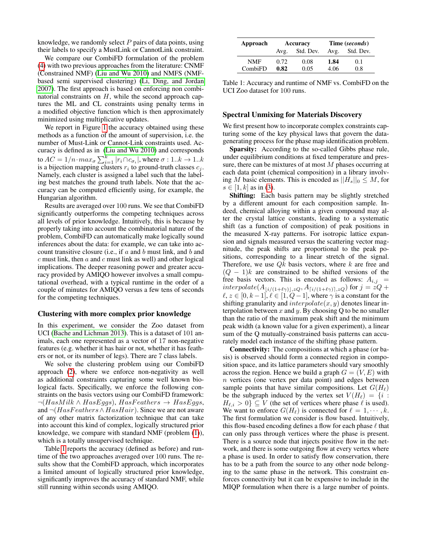knowledge, we randomly select  $P$  pairs of data points, using their labels to specify a MustLink or CannotLink constraint.

We compare our CombiFD formulation of the problem [\(4\)](#page-2-1) with two previous approaches from the literature: CNMF (Constrained NMF) [\(Liu and Wu 2010\)](#page-7-12) and NMFS (NMFbased semi supervised clustering) [\(Li, Ding, and Jordan](#page-7-31) [2007\)](#page-7-31). The first approach is based on enforcing non combinatorial constraints on  $H$ , while the second approach captures the ML and CL constraints using penalty terms in a modified objective function which is then approximately minimized using multiplicative updates.

We report in Figure [1](#page-5-0) the accuracy obtained using these methods as a function of the amount of supervision, i.e. the number of Must-Link or Cannot-Link constraints used. Accuracy is defined as in [\(Liu and Wu 2010\)](#page-7-12) and corresponds to  $AC=1/n\!\cdot \!max_\sigma \sum_{i=1}^k |r_i \cap c_{\sigma_i}|,$  where  $\sigma: 1..k \rightarrow 1..k$ is a bijection mapping clusters  $r_i$  to ground-truth classes  $c_j$ . Namely, each cluster is assigned a label such that the labeling best matches the ground truth labels. Note that the accuracy can be computed efficiently using, for example, the Hungarian algorithm.

Results are averaged over 100 runs. We see that CombiFD significantly outperforms the competing techniques across all levels of prior knowledge. Intuitively, this is because by properly taking into account the combinatorial nature of the problem, CombiFD can automatically make logically sound inferences about the data: for example, we can take into account transitive closure (i.e., if  $a$  and  $b$  must link, and  $b$  and  $c$  must link, then  $a$  and  $c$  must link as well) and other logical implications. The deeper reasoning power and greater accuracy provided by AMIQO however involves a small computational overhead, with a typical runtime in the order of a couple of minutes for AMIQO versus a few tens of seconds for the competing techniques.

### Clustering with more complex prior knowledge

In this experiment, we consider the Zoo dataset from UCI [\(Bache and Lichman 2013\)](#page-7-30). This is a dataset of 101 animals, each one represented as a vector of 17 non-negative features (e.g. whether it has hair or not, whether it has feathers or not, or its number of legs). There are 7 class labels.

We solve the clustering problem using our CombiFD approach [\(2\)](#page-2-0), where we enforce non-negativity as well as additional constraints capturing some well known biological facts. Specifically, we enforce the following constraints on the basis vectors using our CombiFD framework:  $\neg (HasMilk \land HasEggs), HasFeatures \rightarrow HasEggs,$ and  $\neg (HasFeatures \land HasHair)$ . Since we are not aware of any other matrix factorization technique that can take into account this kind of complex, logically structured prior knowledge, we compare with standard NMF (problem [\(1\)](#page-1-0)), which is a totally unsupervised technique.

Table [1](#page-4-0) reports the accuracy (defined as before) and runtime of the two approaches averaged over 100 runs. The results show that the CombiFD approach, which incorporates a limited amount of logically structured prior knowledge, significantly improves the accuracy of standard NMF, while still running within seconds using AMIQO.

<span id="page-4-0"></span>

| Approach   | Accuracy |           | Time (seconds) |           |
|------------|----------|-----------|----------------|-----------|
|            | Avg.     | Std. Dev. | Avg.           | Std. Dev. |
| <b>NMF</b> | 0.72     | 0.08      | 1.84           | 0.1       |
| CombiFD    | 0.82     | 0.05      | 4.06           | 0.8       |

Table 1: Accuracy and runtime of NMF vs. CombiFD on the UCI Zoo dataset for 100 runs.

# Spectral Unmixing for Materials Discovery

We first present how to incorporate complex constraints capturing some of the key physical laws that govern the datagenerating process for the phase map identification problem.

Sparsity: According to the so-called Gibbs phase rule, under equilibrium conditions at fixed temperature and pressure, there can be mixtures of at most  $M$  phases occurring at each data point (chemical composition) in a library involving M basic elements. This is encoded as  $||H_s||_0 \leq M$ , for  $s \in [1, k]$  as in [\(3\)](#page-2-2).

Shifting: Each basis pattern may be slightly stretched by a different amount for each composition sample. Indeed, chemical alloying within a given compound may alter the crystal lattice constants, leading to a systematic shift (as a function of composition) of peak positions in the measured X-ray patterns. For isotropic lattice expansion and signals measured versus the scattering vector magnitude, the peak shifts are proportional to the peak positions, corresponding to a linear stretch of the signal. Therefore, we use  $Qk$  basis vectors, where k are free and  $(Q - 1)k$  are constrained to be shifted versions of the free basis vectors. This is encoded as follows:  $A_{i,j}$  =  $interpolate(A_{\lfloor i/(1+\ell\gamma)\rfloor,zQ}, A_{\lfloor i/(1+\ell\gamma)\rfloor,zQ})$  for  $j = zQ +$  $\ell, z \in [0, k-1], \ell \in [1, Q-1]$ , where  $\gamma$  is a constant for the shifting granularity and  $interpolate(x, y)$  denotes linear interpolation between x and y. By choosing Q to be no smaller than the ratio of the maximum peak shift and the minimum peak width (a known value for a given experiment), a linear sum of the Q mutually-constrained basis patterns can accurately model each instance of the shifting phase pattern.

Connectivity: The compositions at which a phase (or basis) is observed should form a connected region in composition space, and its lattice parameters should vary smoothly across the region. Hence we build a graph  $G = (V, E)$  with n vertices (one vertex per data point) and edges between sample points that have similar compositions. Let  $G(H_\ell)$ be the subgraph induced by the vertex set  $V(H_\ell) = \{i :$  $H_{\ell,i} > 0$   $\subseteq$  V (the set of vertices where phase  $\ell$  is used). We want to enforce  $G(H_\ell)$  is connected for  $\ell = 1, \dots, k$ . The first formulation we consider is flow based. Intuitively, this flow-based encoding defines a flow for each phase  $\ell$  that can only pass through vertices where the phase is present. There is a source node that injects positive flow in the network, and there is some outgoing flow at every vertex where a phase is used. In order to satisfy flow conservation, there has to be a path from the source to any other node belonging to the same phase in the network. This constraint enforces connectivity but it can be expensive to include in the MIQP formulation when there is a large number of points.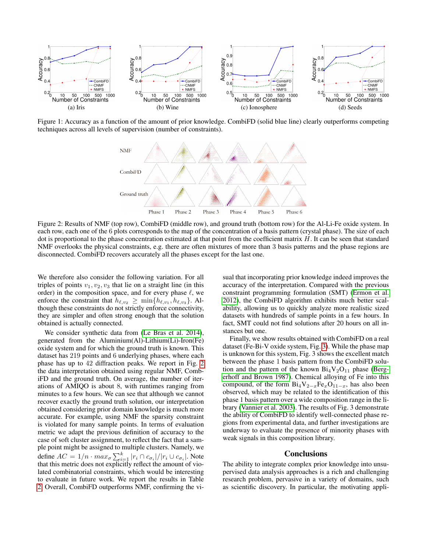<span id="page-5-0"></span>

<span id="page-5-1"></span>Figure 1: Accuracy as a function of the amount of prior knowledge. CombiFD (solid blue line) clearly outperforms competing techniques across all levels of supervision (number of constraints).



Figure 2: Results of NMF (top row), CombiFD (middle row), and ground truth (bottom row) for the Al-Li-Fe oxide system. In each row, each one of the 6 plots corresponds to the map of the concentration of a basis pattern (crystal phase). The size of each dot is proportional to the phase concentration estimated at that point from the coefficient matrix  $H$ . It can be seen that standard NMF overlooks the physical constraints, e.g. there are often mixtures of more than 3 basis patterns and the phase regions are disconnected. CombiFD recovers accurately all the phases except for the last one.

We therefore also consider the following variation. For all triples of points  $v_1, v_2, v_3$  that lie on a straight line (in this order) in the composition space, and for every phase  $\ell$ , we enforce the constraint that  $h_{\ell,v_2} \ge \min\{h_{\ell,v_1}, h_{\ell,v_3}\}.$  Although these constraints do not strictly enforce connectivity, they are simpler and often strong enough that the solution obtained is actually connected.

We consider synthetic data from [\(Le Bras et al. 2014\)](#page-7-32), generated from the Aluminium(Al)-Lithium(Li)-Iron(Fe) oxide system and for which the ground truth is known. This dataset has 219 points and 6 underlying phases, where each phase has up to 42 diffraction peaks. We report in Fig. [2](#page-5-1) the data interpretation obtained using regular NMF, CombiFD and the ground truth. On average, the number of iterations of AMIQO is about 8, with runtimes ranging from minutes to a few hours. We can see that although we cannot recover exactly the ground truth solution, our interpretation obtained considering prior domain knowledge is much more accurate. For example, using NMF the sparsity constraint is violated for many sample points. In terms of evaluation metric we adapt the previous definition of accuracy to the case of soft cluster assignment, to reflect the fact that a sample point might be assigned to multiple clusters. Namely, we define  $AC = 1/n \cdot max_{\sigma} \sum_{i=1}^{k} |r_i \cap c_{\sigma_i}| / |r_i \cup c_{\sigma_i}|$ . Note that this metric does not explicitly reflect the amount of violated combinatorial constraints, which would be interesting to evaluate in future work. We report the results in Table [2.](#page-6-0) Overall, CombiFD outperforms NMF, confirming the visual that incorporating prior knowledge indeed improves the accuracy of the interpretation. Compared with the previous constraint programming formulation (SMT) [\(Ermon et al.](#page-7-11) [2012\)](#page-7-11), the CombiFD algorithm exhibits much better scalability, allowing us to quickly analyze more realistic sized datasets with hundreds of sample points in a few hours. In fact, SMT could not find solutions after 20 hours on all instances but one.

Finally, we show results obtained with CombiFD on a real dataset (Fe-Bi-V oxide system, Fig. [3\)](#page-6-1). While the phase map is unknown for this system, Fig. 3 shows the excellent match between the phase 1 basis pattern from the CombiFD solution and the pattern of the known  $Bi_4V_2O_{11}$  phase [\(Berg](#page-7-33)[erhoff and Brown 1987\)](#page-7-33). Chemical alloying of Fe into this compound, of the form  $Bi_4V_{2-x}Fe_xO_{11-x}$ , has also been observed, which may be related to the identification of this phase 1 basis pattern over a wide composition range in the library [\(Vannier et al. 2003\)](#page-8-4). The results of Fig. 3 demonstrate the ability of CombiFD to identify well-connected phase regions from experimental data, and further investigations are underway to evaluate the presence of minority phases with weak signals in this composition library.

#### Conclusions

The ability to integrate complex prior knowledge into unsupervised data analysis approaches is a rich and challenging research problem, pervasive in a variety of domains, such as scientific discovery. In particular, the motivating appli-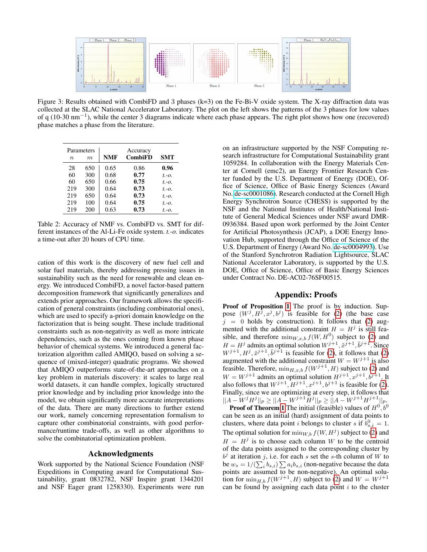<span id="page-6-1"></span>

Figure 3: Results obtained with CombiFD and 3 phases (k=3) on the Fe-Bi-V oxide system. The X-ray diffraction data was collected at the SLAC National Accelerator Laboratory. The plot on the left shows the patterns of the 3 phases for low values of q (10-30 nm−<sup>1</sup> ), while the center 3 diagrams indicate where each phase appears. The right plot shows how one (recovered) phase matches a phase from the literature.

<span id="page-6-0"></span>

|             | Parameters | Accuracy   |                |            |
|-------------|------------|------------|----------------|------------|
| $n_{\rm c}$ | m          | <b>NMF</b> | <b>CombiFD</b> | <b>SMT</b> |
| 28          | 650        | 0.65       | 0.86           | 0.96       |
| 60          | 300        | 0.68       | 0.77           | $t - 0$ .  |
| 60          | 650        | 0.66       | 0.75           | $t - 0$ .  |
| 219         | 300        | 0.64       | 0.73           | $t - Q$ .  |
| 219         | 650        | 0.64       | 0.73           | $t.-0.$    |
| 219         | 100        | 0.64       | 0.75           | $t.-0.$    |
| 219         | 200        | 0.63       | 0.73           | $t.-0.$    |

Table 2: Accuracy of NMF vs. CombiFD vs. SMT for different instances of the Al-Li-Fe oxide system. *t.-o.* indicates a time-out after 20 hours of CPU time.

cation of this work is the discovery of new fuel cell and solar fuel materials, thereby addressing pressing issues in sustainability such as the need for renewable and clean energy. We introduced CombiFD, a novel factor-based pattern decomposition framework that significantly generalizes and extends prior approaches. Our framework allows the specification of general constraints (including combinatorial ones), which are used to specify a-priori domain knowledge on the factorization that is being sought. These include traditional constraints such as non-negativity as well as more intricate dependencies, such as the ones coming from known phase behavior of chemical systems. We introduced a general factorization algorithm called AMIQO, based on solving a sequence of (mixed-integer) quadratic programs. We showed that AMIQO outperforms state-of-the-art approaches on a key problem in materials discovery: it scales to large real world datasets, it can handle complex, logically structured prior knowledge and by including prior knowledge into the model, we obtain significantly more accurate interpretations of the data. There are many directions to further extend our work, namely concerning representation formalism to capture other combinatorial constraints, with good performance/runtime trade-offs, as well as other algorithms to solve the combinatorial optimization problem.

# Acknowledgments

Work supported by the National Science Foundation (NSF Expeditions in Computing award for Computational Sustainability, grant 0832782, NSF Inspire grant 1344201 and NSF Eager grant 1258330). Experiments were run on an infrastructure supported by the NSF Computing research infrastructure for Computational Sustainability grant 1059284. In collaboration with the Energy Materials Center at Cornell (emc2), an Energy Frontier Research Center funded by the U.S. Department of Energy (DOE), Office of Science, Office of Basic Energy Sciences (Award No. [de-sc0001086\)](http://arxiv.org/abs/de-sc/0001086). Research conducted at the Cornell High Energy Synchrotron Source (CHESS) is supported by the NSF and the National Institutes of Health/National Institute of General Medical Sciences under NSF award DMR-0936384. Based upon work performed by the Joint Center for Artificial Photosynthesis (JCAP), a DOE Energy Innovation Hub, supported through the Office of Science of the U.S. Department of Energy (Award No. [de-sc0004993\)](http://arxiv.org/abs/de-sc/0004993). Use of the Stanford Synchrotron Radiation Lightsource, SLAC National Accelerator Laboratory, is supported by the U.S. DOE, Office of Science, Office of Basic Energy Sciences under Contract No. DE-AC02-76SF00515.

# Appendix: Proofs

Proof of Proposition [1](#page-3-2) The proof is by induction. Suppose  $(W^j, H^{\bar{j}}, x^j, b^j)$  is feasible for [\(2\)](#page-2-0) (the base case  $j = 0$  holds by construction). It follows that [\(2\)](#page-2-0) augmented with the additional constraint  $H = H^{j}$  is still feasible, and therefore  $\min_{W,x,b} f(W, H^0)$  subject to [\(2\)](#page-2-0) and  $H = H<sup>j</sup>$  admits an optimal solution  $W<sup>j+1</sup>, \tilde{x}^{j+1}, \tilde{b}^{j+1}$ . Since  $W^{j+1}, H^j, \tilde{x}^{j+1}, \tilde{b}^{j+1}$  is feasible for [\(2\)](#page-2-0), it follows that (2) augmented with the additional constraint  $W = W^{j+1}$  is also feasible. Therefore,  $\min_{H,x,b} f(W^{j+1}, H)$  subject to [\(2\)](#page-2-0) and  $W = W^{j+1}$  admits an optimal solution  $H^{j+1}, x^{j+1}, b^{j+1}$ . It also follows that  $W^{j+1}$ ,  $H^{j+1}$ ,  $x^{j+1}$ ,  $b^{j+1}$  is feasible for [\(2\)](#page-2-0). Finally, since we are optimizing at every step, it follows that  $||A - W^{j}H^{j}||_{p} \geq ||A - W^{j+1}H^{j}||_{p} \geq ||A - W^{j+1}H^{j+1}||_{p}.$ 

**Proof of Theorem [1](#page-3-3)** The initial (feasible) values of  $H^0$ ,  $b^0$ can be seen as an initial (hard) assignment of data points to clusters, where data point *i* belongs to cluster *s* if  $\hat{b}^0_{s,i} = 1$ . The optimal solution for  $\min_{W,b} f(W, H<sup>j</sup>)$  subject to [\(2\)](#page-2-0) and  $H = H^{j}$  is to choose each column W to be the centroid of the data points assigned to the corresponding cluster by  $b^j$  at iteration j, i.e. for each s set the s-th column of W to be  $w_s = 1/(\sum_i b_{s,i}) \sum a_i b_{s,i}$  (non-negative because the data points are assumed to be non-negative). An optimal solution for  $\min_{H,b} f(W^{j+1}, H)$  subject to [\(2\)](#page-2-0) and  $W = W^{j+1}$ can be found by assigning each data point  $i$  to the cluster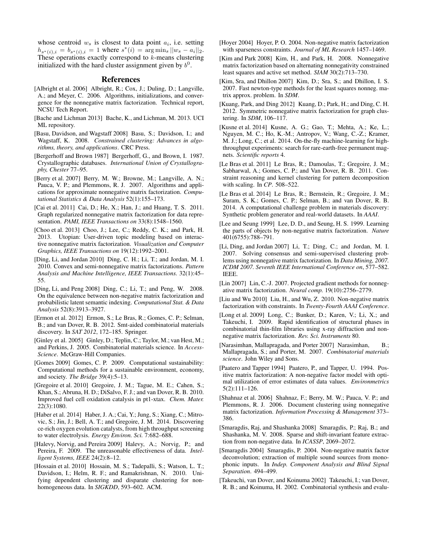whose centroid  $w_s$  is closest to data point  $a_i$ , i.e. setting  $h_{s^*(i),i} = b_{s^*(i),i} = 1$  where  $s^*(i) = \arg \min_s ||w_s - a_i||_2$ . These operations exactly correspond to  $k$ -means clustering initialized with the hard cluster assignment given by  $b^0$ .

### References

- <span id="page-7-26"></span>[Albright et al. 2006] Albright, R.; Cox, J.; Duling, D.; Langville, A.; and Meyer, C. 2006. Algorithms, initializations, and convergence for the nonnegative matrix factorization. Technical report, NCSU Tech Report.
- <span id="page-7-30"></span>[Bache and Lichman 2013] Bache, K., and Lichman, M. 2013. UCI ML repository.
- <span id="page-7-13"></span>[Basu, Davidson, and Wagstaff 2008] Basu, S.; Davidson, I.; and Wagstaff, K. 2008. *Constrained clustering: Advances in algorithms, theory, and applications*. CRC Press.
- <span id="page-7-33"></span>[Bergerhoff and Brown 1987] Bergerhoff, G., and Brown, I. 1987. Crystallographic databases. *International Union of Crystallography, Chester* 77–95.
- <span id="page-7-8"></span>[Berry et al. 2007] Berry, M. W.; Browne, M.; Langville, A. N.; Pauca, V. P.; and Plemmons, R. J. 2007. Algorithms and applications for approximate nonnegative matrix factorization. *Computational Statistics & Data Analysis* 52(1):155–173.
- <span id="page-7-17"></span>[Cai et al. 2011] Cai, D.; He, X.; Han, J.; and Huang, T. S. 2011. Graph regularized nonnegative matrix factorization for data representation. *PAMI, IEEE Transactions on* 33(8):1548–1560.
- <span id="page-7-14"></span>[Choo et al. 2013] Choo, J.; Lee, C.; Reddy, C. K.; and Park, H. 2013. Utopian: User-driven topic modeling based on interactive nonnegative matrix factorization. *Visualization and Computer Graphics, IEEE Transactions on* 19(12):1992–2001.
- <span id="page-7-18"></span>[Ding, Li, and Jordan 2010] Ding, C. H.; Li, T.; and Jordan, M. I. 2010. Convex and semi-nonnegative matrix factorizations. *Pattern Analysis and Machine Intelligence, IEEE Transactions.* 32(1):45– 55.
- <span id="page-7-29"></span>[Ding, Li, and Peng 2008] Ding, C.; Li, T.; and Peng, W. 2008. On the equivalence between non-negative matrix factorization and probabilistic latent semantic indexing. *Computational Stat. & Data Analysis* 52(8):3913–3927.
- <span id="page-7-11"></span>[Ermon et al. 2012] Ermon, S.; Le Bras, R.; Gomes, C. P.; Selman, B.; and van Dover, R. B. 2012. Smt-aided combinatorial materials discovery. In *SAT 2012*, 172–185. Springer.
- <span id="page-7-1"></span>[Ginley et al. 2005] Ginley, D.; Teplin, C.; Taylor, M.; van Hest, M.; and Perkins, J. 2005. Combinatorial materials science. In *Access-Science*. McGraw-Hill Companies.
- <span id="page-7-3"></span>[Gomes 2009] Gomes, C. P. 2009. Computational sustainability: Computational methods for a sustainable environment, economy, and society. *The Bridge* 39(4):5–13.
- <span id="page-7-4"></span>[Gregoire et al. 2010] Gregoire, J. M.; Tague, M. E.; Cahen, S.; Khan, S.; Abruna, H. D.; DiSalvo, F. J.; and van Dover, R. B. 2010. Improved fuel cell oxidation catalysis in pt1-xtax. *Chem. Mater.* 22(3):1080.
- <span id="page-7-5"></span>[Haber et al. 2014] Haber, J. A.; Cai, Y.; Jung, S.; Xiang, C.; Mitrovic, S.; Jin, J.; Bell, A. T.; and Gregoire, J. M. 2014. Discovering ce-rich oxygen evolution catalysts, from high throughput screening to water electrolysis. *Energy Environ. Sci.* 7:682–688.
- <span id="page-7-0"></span>[Halevy, Norvig, and Pereira 2009] Halevy, A.; Norvig, P.; and Pereira, F. 2009. The unreasonable effectiveness of data. *Intelligent Systems, IEEE* 24(2):8–12.
- <span id="page-7-15"></span>[Hossain et al. 2010] Hossain, M. S.; Tadepalli, S.; Watson, L. T.; Davidson, I.; Helm, R. F.; and Ramakrishnan, N. 2010. Unifying dependent clustering and disparate clustering for nonhomogeneous data. In *SIGKDD*, 593–602. ACM.
- <span id="page-7-16"></span>[Hoyer 2004] Hoyer, P. O. 2004. Non-negative matrix factorization with sparseness constraints. *Journal of ML Research* 1457–1469.
- <span id="page-7-25"></span>[Kim and Park 2008] Kim, H., and Park, H. 2008. Nonnegative matrix factorization based on alternating nonnegativity constrained least squares and active set method. *SIAM* 30(2):713–730.
- <span id="page-7-24"></span>[Kim, Sra, and Dhillon 2007] Kim, D.; Sra, S.; and Dhillon, I. S. 2007. Fast newton-type methods for the least squares nonneg. matrix approx. problem. In *SDM*.
- <span id="page-7-28"></span>[Kuang, Park, and Ding 2012] Kuang, D.; Park, H.; and Ding, C. H. 2012. Symmetric nonnegative matrix factorization for graph clustering. In *SDM*, 106–117.
- <span id="page-7-10"></span>[Kusne et al. 2014] Kusne, A. G.; Gao, T.; Mehta, A.; Ke, L.; Nguyen, M. C.; Ho, K.-M.; Antropov, V.; Wang, C.-Z.; Kramer, M. J.; Long, C.; et al. 2014. On-the-fly machine-learning for highthroughput experiments: search for rare-earth-free permanent magnets. *Scientific reports* 4.
- <span id="page-7-6"></span>[Le Bras et al. 2011] Le Bras, R.; Damoulas, T.; Gregoire, J. M.; Sabharwal, A.; Gomes, C. P.; and Van Dover, R. B. 2011. Constraint reasoning and kernel clustering for pattern decomposition with scaling. In *CP*. 508–522.
- <span id="page-7-32"></span>[Le Bras et al. 2014] Le Bras, R.; Bernstein, R.; Gregoire, J. M.; Suram, S. K.; Gomes, C. P.; Selman, B.; and van Dover, R. B. 2014. A computational challenge problem in materials discovery: Synthetic problem generator and real-world datasets. In *AAAI*.
- <span id="page-7-21"></span>[Lee and Seung 1999] Lee, D. D., and Seung, H. S. 1999. Learning the parts of objects by non-negative matrix factorization. *Nature* 401(6755):788–791.
- <span id="page-7-31"></span>[Li, Ding, and Jordan 2007] Li, T.; Ding, C.; and Jordan, M. I. 2007. Solving consensus and semi-supervised clustering problems using nonnegative matrix factorization. In *Data Mining, 2007. ICDM 2007. Seventh IEEE International Conference on*, 577–582. IEEE.
- <span id="page-7-22"></span>[Lin 2007] Lin, C.-J. 2007. Projected gradient methods for nonnegative matrix factorization. *Neural comp.* 19(10):2756–2779.
- <span id="page-7-12"></span>[Liu and Wu 2010] Liu, H., and Wu, Z. 2010. Non-negative matrix factorization with constraints. In *Twenty-Fourth AAAI Conference*.
- <span id="page-7-9"></span>[Long et al. 2009] Long, C.; Bunker, D.; Karen, V.; Li, X.; and Takeuchi, I. 2009. Rapid identification of structural phases in combinatorial thin-film libraries using x-ray diffraction and nonnegative matrix factorization. *Rev. Sci. Instruments* 80.
- <span id="page-7-2"></span>[Narasimhan, Mallapragada, and Porter 2007] Narasimhan, B.; Mallapragada, S.; and Porter, M. 2007. *Combinatorial materials science*. John Wiley and Sons.
- <span id="page-7-23"></span>[Paatero and Tapper 1994] Paatero, P., and Tapper, U. 1994. Positive matrix factorization: A non-negative factor model with optimal utilization of error estimates of data values. *Environmetrics* 5(2):111–126.
- <span id="page-7-27"></span>[Shahnaz et al. 2006] Shahnaz, F.; Berry, M. W.; Pauca, V. P.; and Plemmons, R. J. 2006. Document clustering using nonnegative matrix factorization. *Information Processing & Management* 373– 386.
- <span id="page-7-20"></span>[Smaragdis, Raj, and Shashanka 2008] Smaragdis, P.; Raj, B.; and Shashanka, M. V. 2008. Sparse and shift-invariant feature extraction from non-negative data. In *ICASSP*, 2069–2072.
- <span id="page-7-19"></span>[Smaragdis 2004] Smaragdis, P. 2004. Non-negative matrix factor deconvolution; extraction of multiple sound sources from monophonic inputs. In *Indep. Component Analysis and Blind Signal Separation*. 494–499.
- <span id="page-7-7"></span>[Takeuchi, van Dover, and Koinuma 2002] Takeuchi, I.; van Dover, R. B.; and Koinuma, H. 2002. Combinatorial synthesis and evalu-